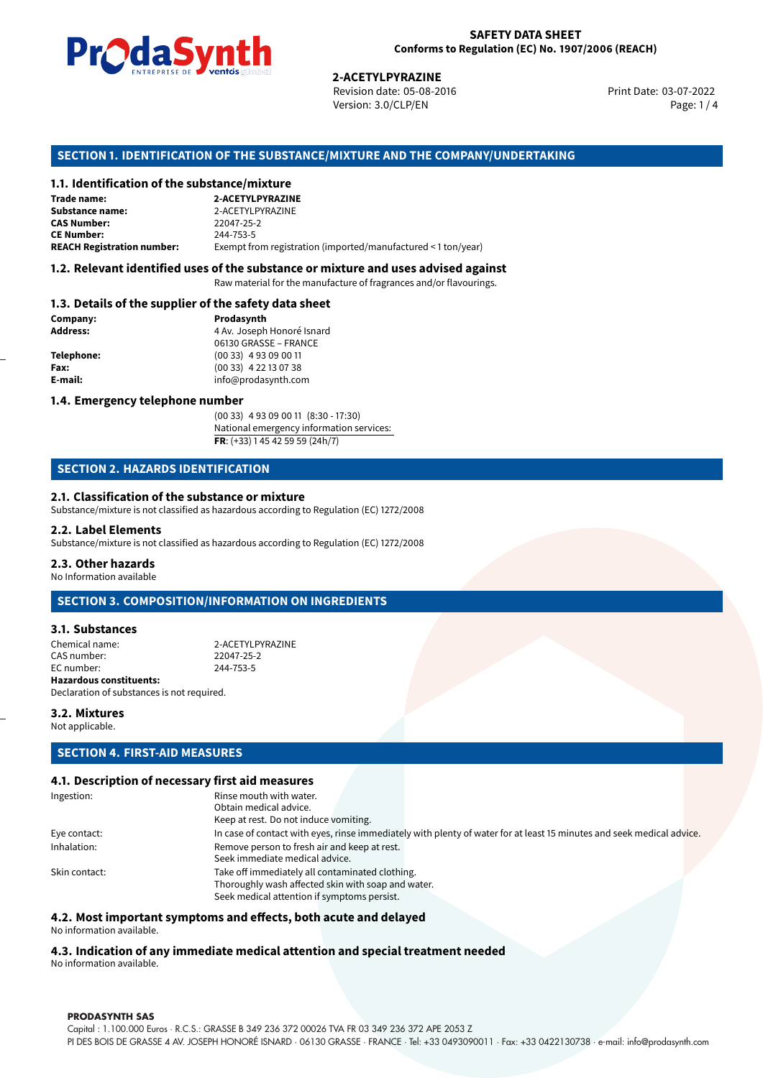

Revision date: 05-08-2016 Version: 3.0/CLP/EN Page: 1 / 4

Print Date: 03-07-2022

## **SECTION 1. IDENTIFICATION OF THE SUBSTANCE/MIXTURE AND THE COMPANY/UNDERTAKING**

## **1.1. Identification of the substance/mixture**

|                                              | LIVING THE DE <b>DE VOINUS</b> SUSSESSI<br><b>2-ACETYLPYRAZINE</b><br>Revision date: 05-08-2016<br>Version: 3.0/CLP/EN |
|----------------------------------------------|------------------------------------------------------------------------------------------------------------------------|
|                                              | SECTION 1. IDENTIFICATION OF THE SUBSTANCE/MIXTURE AND THE COMPANY/U                                                   |
| 1.1. Identification of the substance/mixture |                                                                                                                        |
| Trade name:                                  | 2-ACETYLPYRAZINE                                                                                                       |
| <b>Substance name:</b>                       | 2-ACETYLPYRAZINE                                                                                                       |
| <b>CAS Number:</b>                           | 22047-25-2                                                                                                             |
| <b>CE Number:</b>                            | 244-753-5                                                                                                              |
| <b>REACH Registration number:</b>            | Exempt from registration (imported/manufactured < 1 ton/year)                                                          |
|                                              |                                                                                                                        |

## **1.2. Relevant identified uses of the substance or mixture and uses advised against**

Raw material for the manufacture of fragrances and/or flavourings.

#### **1.3. Details of the supplier of the safety data sheet**

| Company:          | Prodasynth                 |  |
|-------------------|----------------------------|--|
| <b>Address:</b>   | 4 Av. Joseph Honoré Isnard |  |
|                   | 06130 GRASSE - FRANCE      |  |
| <b>Telephone:</b> | $(0033)$ 4 93 09 00 11     |  |
| Fax:              | $(0033)$ 4 22 13 07 38     |  |
| E-mail:           | info@prodasynth.com        |  |
|                   |                            |  |

## **1.4. Emergency telephone number**

(00 33) 4 93 09 00 11 (8:30 - 17:30) National emergency information services: **FR**: (+33) 1 45 42 59 59 (24h/7)

## **SECTION 2. HAZARDS IDENTIFICATION**

### **2.1. Classification of the substance or mixture**

Substance/mixture is not classified as hazardous according to Regulation (EC) 1272/2008

#### **2.2. Label Elements**

Substance/mixture is not classified as hazardous according to Regulation (EC) 1272/2008

#### **2.3. Other hazards**

No Information available

## **SECTION 3. COMPOSITION/INFORMATION ON INGREDIENTS**

## **3.1. Substances**

Chemical name: 2-ACETYLPYRAZINE CAS number: 22047-25-2<br>EC number: 244-753-5 EC number: **Hazardous constituents:** Declaration of substances is not required.

**3.2. Mixtures**

Not applicable.

## **SECTION 4. FIRST-AID MEASURES**

## **4.1. Description of necessary first aid measures**

| Ingestion:    | Rinse mouth with water.                                                                                               |  |  |  |
|---------------|-----------------------------------------------------------------------------------------------------------------------|--|--|--|
|               | Obtain medical advice.                                                                                                |  |  |  |
|               | Keep at rest. Do not induce vomiting.                                                                                 |  |  |  |
| Eye contact:  | In case of contact with eyes, rinse immediately with plenty of water for at least 15 minutes and seek medical advice. |  |  |  |
| Inhalation:   | Remove person to fresh air and keep at rest.                                                                          |  |  |  |
|               | Seek immediate medical advice.                                                                                        |  |  |  |
| Skin contact: | Take off immediately all contaminated clothing.                                                                       |  |  |  |
|               | Thoroughly wash affected skin with soap and water.                                                                    |  |  |  |
|               | Seek medical attention if symptoms persist.                                                                           |  |  |  |
|               |                                                                                                                       |  |  |  |

#### **4.2. Most important symptoms and effects, both acute and delayed**

No information available.

## **4.3. Indication of any immediate medical attention and special treatment needed**

No information available.

#### **PRODASYNTH SAS**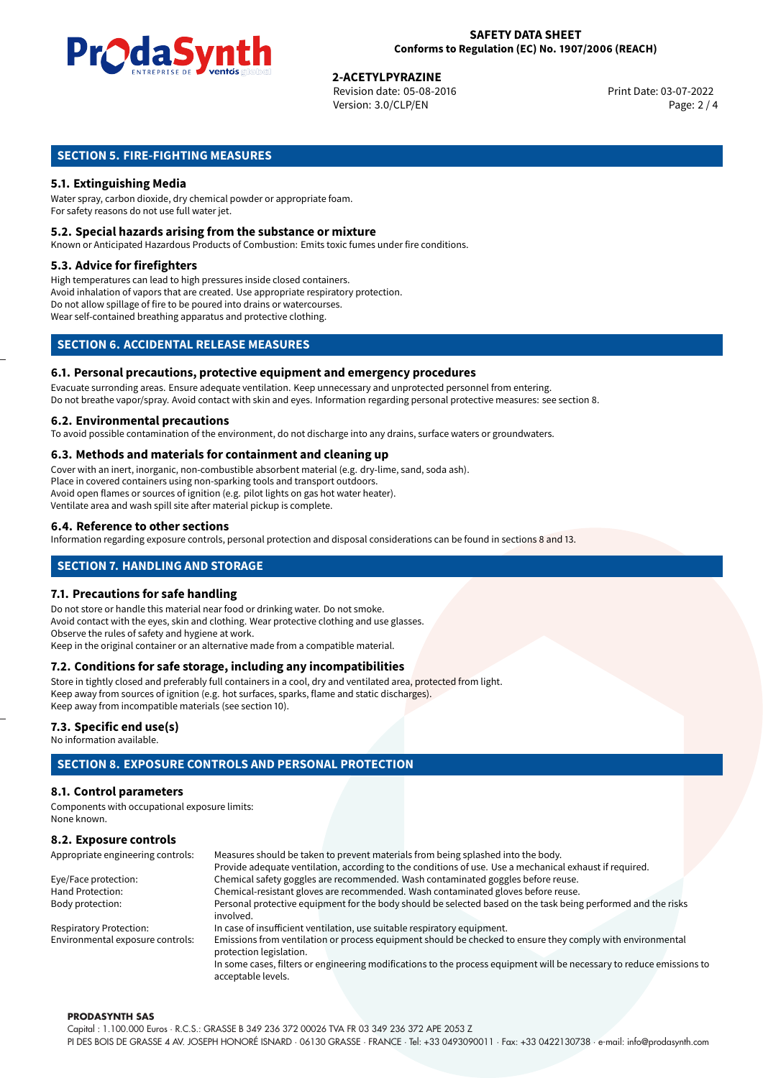

# **2-ACETYLPYRAZINE**<br>
Revision date: 05-08-2016<br> **Print Date: 03-07-2022**

Revision date: 05-08-2016 Version: 3.0/CLP/EN Page: 2 / 4

## **SECTION 5. FIRE-FIGHTING MEASURES**

## **5.1. Extinguishing Media**

Water spray, carbon dioxide, dry chemical powder or appropriate foam. For safety reasons do not use full water jet.

## **5.2. Special hazards arising from the substance or mixture**

Known or Anticipated Hazardous Products of Combustion: Emits toxic fumes under fire conditions.

### **5.3. Advice for firefighters**

High temperatures can lead to high pressures inside closed containers. Avoid inhalation of vapors that are created. Use appropriate respiratory protection. Do not allow spillage of fire to be poured into drains or watercourses. Wear self-contained breathing apparatus and protective clothing.

## **SECTION 6. ACCIDENTAL RELEASE MEASURES**

### **6.1. Personal precautions, protective equipment and emergency procedures**

Evacuate surronding areas. Ensure adequate ventilation. Keep unnecessary and unprotected personnel from entering. Do not breathe vapor/spray. Avoid contact with skin and eyes. Information regarding personal protective measures: see section 8.

### **6.2. Environmental precautions**

To avoid possible contamination of the environment, do not discharge into any drains, surface waters or groundwaters.

### **6.3. Methods and materials for containment and cleaning up**

Cover with an inert, inorganic, non-combustible absorbent material (e.g. dry-lime, sand, soda ash). Place in covered containers using non-sparking tools and transport outdoors. Avoid open flames or sources of ignition (e.g. pilot lights on gas hot water heater). Ventilate area and wash spill site after material pickup is complete.

### **6.4. Reference to other sections**

Information regarding exposure controls, personal protection and disposal considerations can be found in sections 8 and 13.

## **SECTION 7. HANDLING AND STORAGE**

#### **7.1. Precautions for safe handling**

Do not store or handle this material near food or drinking water. Do not smoke. Avoid contact with the eyes, skin and clothing. Wear protective clothing and use glasses. Observe the rules of safety and hygiene at work. Keep in the original container or an alternative made from a compatible material.

## **7.2. Conditions for safe storage, including any incompatibilities**

Store in tightly closed and preferably full containers in a cool, dry and ventilated area, protected from light. Keep away from sources of ignition (e.g. hot surfaces, sparks, flame and static discharges). Keep away from incompatible materials (see section 10).

## **7.3. Specific end use(s)**

No information available.

## **SECTION 8. EXPOSURE CONTROLS AND PERSONAL PROTECTION**

## **8.1. Control parameters**

Components with occupational exposure limits: None known.

## **8.2. Exposure controls**

| Appropriate engineering controls: | Measures should be taken to prevent materials from being splashed into the body.                                                            |  |  |  |
|-----------------------------------|---------------------------------------------------------------------------------------------------------------------------------------------|--|--|--|
|                                   | Provide adequate ventilation, according to the conditions of use. Use a mechanical exhaust if required.                                     |  |  |  |
| Eye/Face protection:              | Chemical safety goggles are recommended. Wash contaminated goggles before reuse.                                                            |  |  |  |
| Hand Protection:                  | Chemical-resistant gloves are recommended. Wash contaminated gloves before reuse.                                                           |  |  |  |
| Body protection:                  | Personal protective equipment for the body should be selected based on the task being performed and the risks                               |  |  |  |
|                                   | involved.                                                                                                                                   |  |  |  |
| <b>Respiratory Protection:</b>    | In case of insufficient ventilation, use suitable respiratory equipment.                                                                    |  |  |  |
| Environmental exposure controls:  | Emissions from ventilation or process equipment should be checked to ensure they comply with environmental<br>protection legislation.       |  |  |  |
|                                   | In some cases, filters or engineering modifications to the process equipment will be necessary to reduce emissions to<br>acceptable levels. |  |  |  |

#### **PRODASYNTH SAS**

Capital : 1.100.000 Euros · R.C.S.: GRASSE B 349 236 372 00026 TVA FR 03 349 236 372 APE 2053 Z PI DES BOIS DE GRASSE 4 AV. JOSEPH HONORÉ ISNARD · 06130 GRASSE · FRANCE · Tel: +33 0493090011 · Fax: +33 0422130738 · e-mail: info@prodasynth.com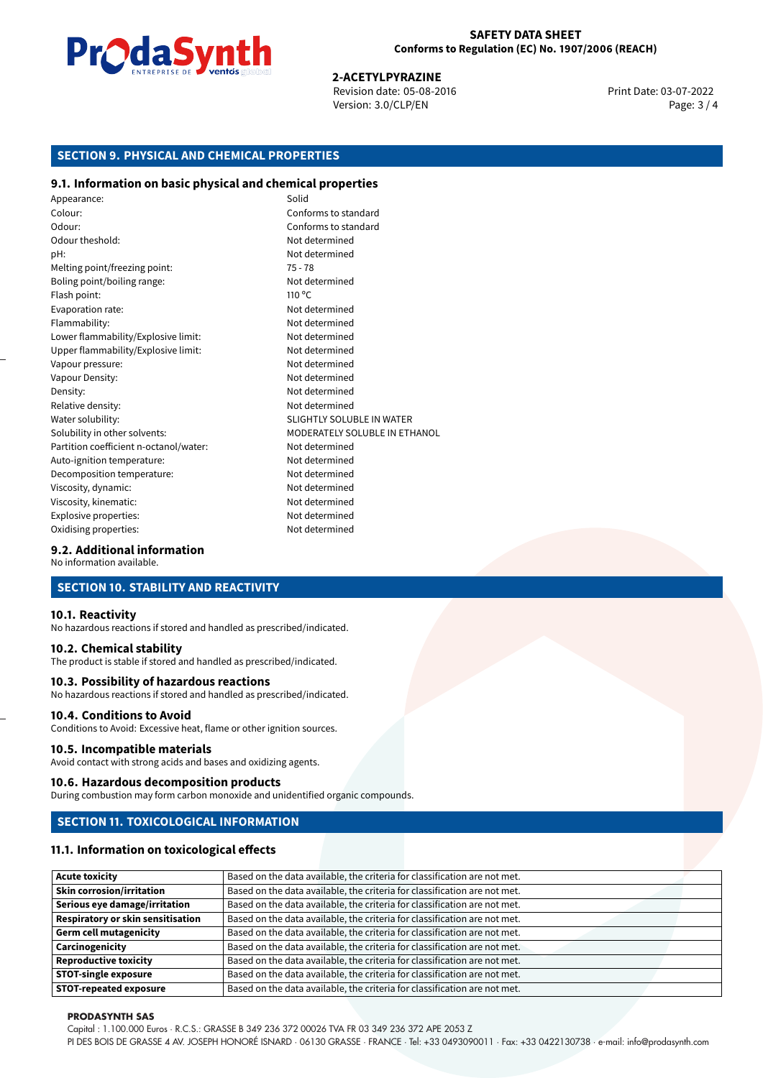

# **2-ACETYLPYRAZINE**<br>
Revision date: 05-08-2016<br> **Print Date: 03-07-2022**

Revision date: 05-08-2016 Version: 3.0/CLP/EN Page: 3 / 4

## **SECTION 9. PHYSICAL AND CHEMICAL PROPERTIES**

## **9.1. Information on basic physical and chemical properties**

Appearance: Solid Colour: Conforms to standard Odour: Conforms to standard Odour theshold: Not determined pH: Not determined Melting point/freezing point: 75 - 78 Boling point/boiling range: Not determined Flash point: 110 °C Evaporation rate: Not determined Flammability: Not determined Lower flammability/Explosive limit: Not determined Upper flammability/Explosive limit: Not determined Vapour pressure: Vapour pressure: Not determined Vapour Density: Not determined Density: Not determined Relative density: Not determined Water solubility: Water solubility: SLIGHTLY SOLUBLE IN WATER Solubility in other solvents: MODERATELY SOLUBLE IN ETHANOL Partition coefficient n-octanol/water: Not determined Auto-ignition temperature: Not determined Decomposition temperature: Not determined Viscosity, dynamic:  $\blacksquare$ Viscosity, kinematic: Not determined Explosive properties: Not determined Oxidising properties: Not determined

## **9.2. Additional information**

No information available.

## **SECTION 10. STABILITY AND REACTIVITY**

#### **10.1. Reactivity**

No hazardous reactions if stored and handled as prescribed/indicated.

## **10.2. Chemical stability**

The product is stable if stored and handled as prescribed/indicated.

#### **10.3. Possibility of hazardous reactions**

No hazardous reactions if stored and handled as prescribed/indicated.

## **10.4. Conditions to Avoid**

Conditions to Avoid: Excessive heat, flame or other ignition sources.

#### **10.5. Incompatible materials**

Avoid contact with strong acids and bases and oxidizing agents.

#### **10.6. Hazardous decomposition products**

During combustion may form carbon monoxide and unidentified organic compounds.

## **SECTION 11. TOXICOLOGICAL INFORMATION**

## **11.1. Information on toxicological effects**

| <b>Acute toxicity</b>                    | Based on the data available, the criteria for classification are not met. |
|------------------------------------------|---------------------------------------------------------------------------|
| <b>Skin corrosion/irritation</b>         | Based on the data available, the criteria for classification are not met. |
| Serious eye damage/irritation            | Based on the data available, the criteria for classification are not met. |
| <b>Respiratory or skin sensitisation</b> | Based on the data available, the criteria for classification are not met. |
| <b>Germ cell mutagenicity</b>            | Based on the data available, the criteria for classification are not met. |
| Carcinogenicity                          | Based on the data available, the criteria for classification are not met. |
| <b>Reproductive toxicity</b>             | Based on the data available, the criteria for classification are not met. |
| <b>STOT-single exposure</b>              | Based on the data available, the criteria for classification are not met. |
| <b>STOT-repeated exposure</b>            | Based on the data available, the criteria for classification are not met. |

#### **PRODASYNTH SAS**

Capital : 1.100.000 Euros · R.C.S.: GRASSE B 349 236 372 00026 TVA FR 03 349 236 372 APE 2053 Z

PI DES BOIS DE GRASSE 4 AV. JOSEPH HONORÉ ISNARD · 06130 GRASSE · FRANCE · Tel: +33 0493090011 · Fax: +33 0422130738 · e-mail: info@prodasynth.com